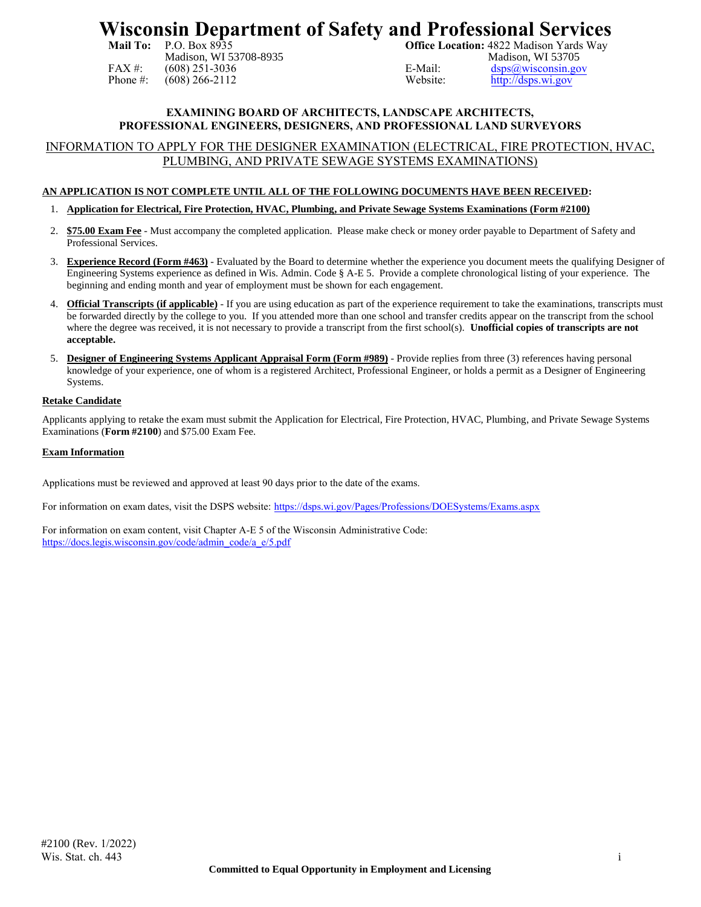## **Wisconsin Department of Safety and Professional Services**<br>Mail To: P.O. Box 8935<br>Continue Location: 4822 Madison Yards Way **Office Location:** 4822 Madison Yards Way

**Mail To:** P.O. Box 8935 Madison, WI 53708-8935 FAX #:  $(608)$  251-3036<br>Phone #:  $(608)$  266-2112  $(608)$  266-2112

 Madison, WI 53705 E-Mail: dsps@wisconsin.gov<br>Website: http://dsps.wi.gov http://dsps.wi.gov

### **EXAMINING BOARD OF ARCHITECTS, LANDSCAPE ARCHITECTS, PROFESSIONAL ENGINEERS, DESIGNERS, AND PROFESSIONAL LAND SURVEYORS**

## INFORMATION TO APPLY FOR THE DESIGNER EXAMINATION (ELECTRICAL, FIRE PROTECTION, HVAC, PLUMBING, AND PRIVATE SEWAGE SYSTEMS EXAMINATIONS)

### **AN APPLICATION IS NOT COMPLETE UNTIL ALL OF THE FOLLOWING DOCUMENTS HAVE BEEN RECEIVED:**

- 1. **Application for Electrical, Fire Protection, HVAC, Plumbing, and Private Sewage Systems Examinations (Form #2100)**
- 2. **\$75.00 Exam Fee** Must accompany the completed application. Please make check or money order payable to Department of Safety and Professional Services.
- 3. **Experience Record (Form #463)** Evaluated by the Board to determine whether the experience you document meets the qualifying Designer of Engineering Systems experience as defined in Wis. Admin. Code § A-E 5. Provide a complete chronological listing of your experience. The beginning and ending month and year of employment must be shown for each engagement.
- 4. **Official Transcripts (if applicable)** If you are using education as part of the experience requirement to take the examinations, transcripts must be forwarded directly by the college to you. If you attended more than one school and transfer credits appear on the transcript from the school where the degree was received, it is not necessary to provide a transcript from the first school(s). **Unofficial copies of transcripts are not acceptable.**
- 5. **Designer of Engineering Systems Applicant Appraisal Form (Form #989)** Provide replies from three (3) references having personal knowledge of your experience, one of whom is a registered Architect, Professional Engineer, or holds a permit as a Designer of Engineering Systems.

#### **Retake Candidate**

Applicants applying to retake the exam must submit the Application for Electrical, Fire Protection, HVAC, Plumbing, and Private Sewage Systems Examinations (**Form #2100**) and \$75.00 Exam Fee.

#### **Exam Information**

Applications must be reviewed and approved at least 90 days prior to the date of the exams.

For information on exam dates, visit the DSPS website: https://dsps.wi.gov/Pages/Professions/DOESystems/Exams.aspx

For information on exam content, visit Chapter A-E 5 of the Wisconsin Administrative Code: https://docs.legis.wisconsin.gov/code/admin\_code/a\_e/5.pdf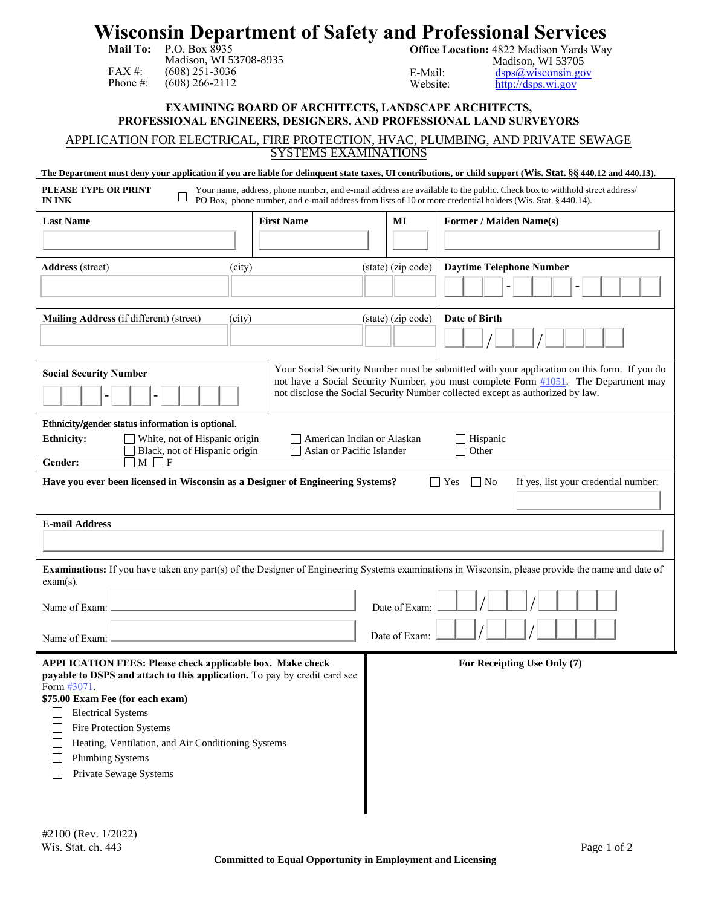# **Wisconsin Department of Safety and Professional Services**

| <b>Mail To:</b> | P.O. Box 8935          |
|-----------------|------------------------|
|                 | Madison. WI 53708-8935 |
| FAX#            | $(608)$ 251-3036       |
| Phone $\#$ :    | $(608)$ 266-2112       |

**Office Location:** 4822 Madison Yards Way

Madison, WI 53705 E-Mail: dsps@wisconsin.gov<br>Website: http://dsps.wi.gov http://dsps.wi.gov

## **EXAMINING BOARD OF ARCHITECTS, LANDSCAPE ARCHITECTS, PROFESSIONAL ENGINEERS, DESIGNERS, AND PROFESSIONAL LAND SURVEYORS**

## APPLICATION FOR ELECTRICAL, FIRE PROTECTION, HVAC, PLUMBING, AND PRIVATE SEWAGE SYSTEMS EXAMINATIONS

| The Department must deny your application if you are liable for delinquent state taxes, UI contributions, or child support (Wis. Stat. §§ 440.12 and 440.13).<br><b>PLEASE TYPE OR PRINT</b><br>ப<br><b>IN INK</b>                                              |                                                         |                                | Your name, address, phone number, and e-mail address are available to the public. Check box to withhold street address/                                                                                                                                                  |  |  |  |  |  |
|-----------------------------------------------------------------------------------------------------------------------------------------------------------------------------------------------------------------------------------------------------------------|---------------------------------------------------------|--------------------------------|--------------------------------------------------------------------------------------------------------------------------------------------------------------------------------------------------------------------------------------------------------------------------|--|--|--|--|--|
| <b>Last Name</b>                                                                                                                                                                                                                                                | <b>First Name</b>                                       | МI                             | PO Box, phone number, and e-mail address from lists of 10 or more credential holders (Wis. Stat. § 440.14).<br><b>Former / Maiden Name(s)</b>                                                                                                                            |  |  |  |  |  |
| <b>Address</b> (street)<br>(city)                                                                                                                                                                                                                               |                                                         | (state) (zip code)             | <b>Daytime Telephone Number</b>                                                                                                                                                                                                                                          |  |  |  |  |  |
| Mailing Address (if different) (street)<br>(city)                                                                                                                                                                                                               |                                                         | (state) (zip code)             | Date of Birth                                                                                                                                                                                                                                                            |  |  |  |  |  |
| <b>Social Security Number</b>                                                                                                                                                                                                                                   |                                                         |                                | Your Social Security Number must be submitted with your application on this form. If you do<br>not have a Social Security Number, you must complete Form $\#1051$ . The Department may<br>not disclose the Social Security Number collected except as authorized by law. |  |  |  |  |  |
| Ethnicity/gender status information is optional.<br><b>Ethnicity:</b><br>White, not of Hispanic origin<br>Black, not of Hispanic origin                                                                                                                         | American Indian or Alaskan<br>Asian or Pacific Islander |                                | ⊿ Hispanic<br>Other                                                                                                                                                                                                                                                      |  |  |  |  |  |
| Gender:<br>$\neg M \square F$<br>Have you ever been licensed in Wisconsin as a Designer of Engineering Systems?                                                                                                                                                 |                                                         |                                | $\Box$ Yes<br>$\Box$ No<br>If yes, list your credential number:                                                                                                                                                                                                          |  |  |  |  |  |
| <b>E-mail Address</b>                                                                                                                                                                                                                                           |                                                         |                                |                                                                                                                                                                                                                                                                          |  |  |  |  |  |
| $exam(s)$ .<br>Name of Exam:<br>Name of Exam:                                                                                                                                                                                                                   |                                                         | Date of Exam:<br>Date of Exam: | <b>Examinations:</b> If you have taken any part(s) of the Designer of Engineering Systems examinations in Wisconsin, please provide the name and date of                                                                                                                 |  |  |  |  |  |
| <b>APPLICATION FEES: Please check applicable box. Make check</b><br>payable to DSPS and attach to this application. To pay by credit card see<br>Form #3071.<br>\$75.00 Exam Fee (for each exam)<br><b>Electrical Systems</b><br><b>Fire Protection Systems</b> |                                                         |                                | For Receipting Use Only (7)                                                                                                                                                                                                                                              |  |  |  |  |  |